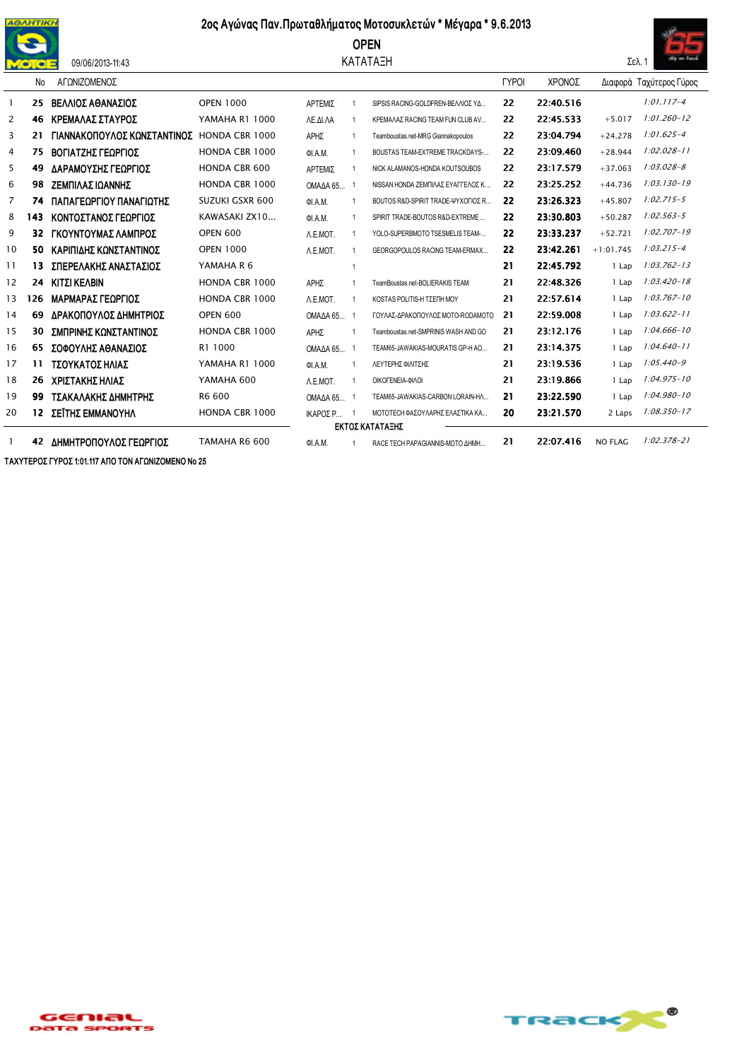

09/06/2013-11:43

## 2ος Αγώνας Παν. Πρωταθλήματος Μοτοσυκλετών \* Μέγαρα \* 9.6.2013

## **OPEN**

## ΚΑΤΑΤΑΞΗ



|    | No  | ΑΓΩΝΙΖΟΜΕΝΟΣ                |                        |          |                |                                      | <b>TYPOI</b> | ΧΡΟΝΟΣ    |             | Διαφορά Ταχύτερος Γύρος |
|----|-----|-----------------------------|------------------------|----------|----------------|--------------------------------------|--------------|-----------|-------------|-------------------------|
|    | -25 | ΒΕΛΛΙΟΣ ΑΘΑΝΑΣΙΟΣ           | <b>OPEN 1000</b>       | ΑΡΤΕΜΙΣ  |                | SIPSIS RACING-GOLDFREN-BEAVIOZ YA    | 22           | 22:40.516 |             | $1:01.117 - 4$          |
| 2  | 46  | ΚΡΕΜΑΛΑΣ ΣΤΑΥΡΟΣ            | <b>YAMAHA R1 1000</b>  | ΛΕ.ΔΙ.ΛΑ |                | ΚΡΕΜΑΛΑΣ RACING TEAM FUN CLUB AV     | 22           | 22:45.533 | $+5.017$    | $1:01.260 - 12$         |
| 3  | 21  | ΓΙΑΝΝΑΚΟΠΟΥΛΟΣ ΚΩΝΣΤΑΝΤΙΝΟΣ | HONDA CBR 1000         | ΑΡΗΣ     |                | Teamboustas.net-MRG Giannakopoulos   | 22           | 23:04.794 | $+24.278$   | $1:01.625 - 4$          |
| 4  | 75  | ΒΟΓΙΑΤΖΗΣ ΓΕΩΡΓΙΟΣ          | <b>HONDA CBR 1000</b>  | ΦΙ.Α.Μ.  |                | BOUSTAS TEAM-EXTREME TRACKDAYS-      | 22           | 23:09.460 | $+28.944$   | $1:02.028 - 11$         |
| 5  | 49  | ΔΑΡΑΜΟΥΣΗΣ ΓΕΩΡΓΙΟΣ         | <b>HONDA CBR 600</b>   | ΑΡΤΕΜΙΣ  |                | NICK ALAMANOS-HONDA KOUTSOUBOS       | 22           | 23:17.579 | $+37.063$   | $1:03.028 - 8$          |
| 6  | 98  | ΖΕΜΠΙΛΑΣ ΙΩΑΝΝΗΣ            | <b>HONDA CBR 1000</b>  | OΜΑΔΑ 65 |                | ΝΙSSAN HONDA ΖΕΜΠΙΛΑΣ ΕΥΑΓΓΕΛΟΣ Κ    | 22           | 23:25.252 | $+44.736$   | $1:03.130 - 19$         |
| 7  | 74  | ΠΑΠΑΓΕΩΡΓΙΟΥ ΠΑΝΑΓΙΩΤΗΣ     | <b>SUZUKI GSXR 600</b> | ΦΙ.Α.Μ.  |                | BOUTOS R&D-SPIRIT TRADE-ΨΥΧΟΓΙΟΣ R   | 22           | 23:26.323 | $+45.807$   | $1:02.715 - 5$          |
| 8  | 143 | ΚΟΝΤΟΣΤΑΝΟΣ ΓΕΩΡΓΙΟΣ        | KAWASAKI ZX10          | OI.A.M.  |                | SPIRIT TRADE-BOUTOS R&D-EXTREME      | 22           | 23:30.803 | $+50.287$   | $1:02.563 - 5$          |
| 9  | 32  | ΓΚΟΥΝΤΟΥΜΑΣ ΛΑΜΠΡΟΣ         | <b>OPEN 600</b>        | A.E.MOT. |                | YOLO-SUPERBMOTO TSESMELIS TEAM-      | 22           | 23:33.237 | $+52.721$   | $1:02.707 - 19$         |
| 10 | 50  | ΚΑΡΙΠΙΔΗΣ ΚΩΝΣΤΑΝΤΙΝΟΣ      | <b>OPEN 1000</b>       | A.E.MOT. |                | GEORGOPOULOS RACING TEAM-ERMAX       | 22           | 23:42.261 | $+1:01.745$ | $1:03.215 - 4$          |
| 11 | 13  | ΣΠΕΡΕΛΑΚΗΣ ΑΝΑΣΤΑΣΙΟΣ       | YAMAHA R 6             |          |                |                                      | 21           | 22:45.792 | 1 Lap       | $1:03.762 - 13$         |
| 12 | 24  | ΚΙΤΣΙ ΚΕΛΒΙΝ                | <b>HONDA CBR 1000</b>  | ΑΡΗΣ     |                | TeamBoustas.net-BOLIERAKISTEAM       | 21           | 22:48.326 | 1 Lap       | $1:03.420 - 18$         |
| 13 | 126 | ΜΑΡΜΑΡΑΣ ΓΕΩΡΓΙΟΣ           | <b>HONDA CBR 1000</b>  | A.E.MOT. | -1             | ΚΟSTAS POLITIS-Η ΤΣΕΠΗ ΜΟΥ           | 21           | 22:57.614 | 1 Lap       | $1:03.767 - 10$         |
| 14 | 69  | ΔΡΑΚΟΠΟΥΛΟΣ ΔΗΜΗΤΡΙΟΣ       | <b>OPEN 600</b>        | OMAAA65  |                | ΓΟΥΛΑΣ-ΔΡΑΚΟΠΟΥΛΟΣ ΜΟΤΟ-RODAMOTO     | 21           | 22:59.008 | 1 Lap       | $1:03.622 - 11$         |
| 15 | 30  | ΣΜΠΡΙΝΗΣ ΚΩΝΣΤΑΝΤΙΝΟΣ       | <b>HONDA CBR 1000</b>  | ΑΡΗΣ     |                | Teamboustas.net-SMPRINIS WASH AND GO | 21           | 23:12.176 | 1 Lap       | $1:04.666 - 10$         |
| 16 | 65  | ΣΟΦΟΥΛΗΣ ΑΘΑΝΑΣΙΟΣ          | R1 1000                | OΜΑΔΑ 65 | - 1            | TEAM65-JAWAKIAS-MOURATIS GP-H AO     | 21           | 23:14.375 | 1 Lap       | $1:04.640 - 11$         |
| 17 | 11  | ΤΣΟΥΚΑΤΟΣ ΗΛΙΑΣ             | <b>YAMAHA R1 1000</b>  | ΦΙ.Α.Μ.  |                | ΛΕΥΤΕΡΗΣ ΦΙΛΙΤΣΗΣ                    | 21           | 23:19.536 | 1 Lap       | $1:05.440 - 9$          |
| 18 | 26  | ΧΡΙΣΤΑΚΗΣ ΗΛΙΑΣ             | YAMAHA 600             | A.E.MOT. | $\overline{1}$ | ΟΙΚΟΓΕΝΕΙΑ-ΦΙΛΟΙ                     | 21           | 23:19.866 | 1 Lap       | $1:04.975 - 10$         |
| 19 | 99  | ΤΣΑΚΑΛΑΚΗΣ ΔΗΜΗΤΡΗΣ         | R6 600                 | OΜΑΔΑ 65 |                | TEAM65-JAWAKIAS-CARBON LORAIN-HA     | 21           | 23:22.590 | 1 Lap       | $1:04.980 - 10$         |
| 20 | 12  | ΣΕΪΤΗΣ ΕΜΜΑΝΟΥΗΛ            | <b>HONDA CBR 1000</b>  | ΙΚΑΡΟΣ Ρ |                | ΜΟΤΟΤΕΣΗ ΦΑΣΟΥΛΑΡΗΣ ΕΛΑΣΤΙΚΑ ΚΑ      | 20           | 23:21.570 | 2 Laps      | $1:08.350 - 17$         |
|    |     |                             |                        |          |                | ΕΚΤΟΣ ΚΑΤΑΤΑΞΗΣ                      |              |           |             |                         |
|    | 42  | ΔΗΜΗΤΡΟΠΟΥΛΟΣ ΓΕΩΡΓΙΟΣ      | TAMAHA R6 600          | ΦΙ.Α.Μ.  |                | RACE TECH PAPAGIANNIS-MOTO AHMH      | 21           | 22:07.416 | NO FLAG     | $1:02.378 - 21$         |

ΤΑΧΥΤΕΡΟΣ ΓΥΡΟΣ 1:01.117 ΑΠΟ ΤΟΝ ΑΓΩΝΙΖΟΜΕΝΟ Νο 25